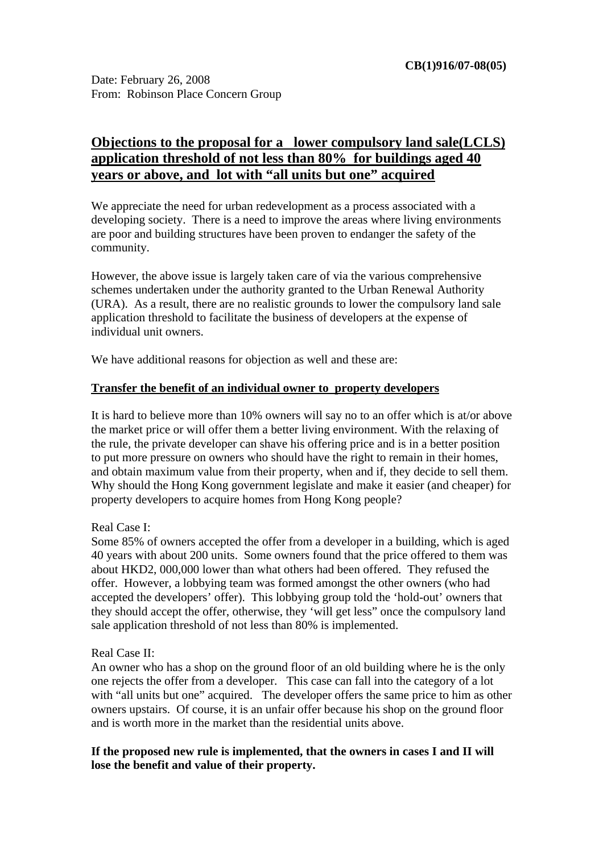# **Objections to the proposal for a lower compulsory land sale(LCLS) application threshold of not less than 80% for buildings aged 40 years or above, and lot with "all units but one" acquired**

We appreciate the need for urban redevelopment as a process associated with a developing society. There is a need to improve the areas where living environments are poor and building structures have been proven to endanger the safety of the community.

However, the above issue is largely taken care of via the various comprehensive schemes undertaken under the authority granted to the Urban Renewal Authority (URA). As a result, there are no realistic grounds to lower the compulsory land sale application threshold to facilitate the business of developers at the expense of individual unit owners.

We have additional reasons for objection as well and these are:

### **Transfer the benefit of an individual owner to property developers**

It is hard to believe more than 10% owners will say no to an offer which is at/or above the market price or will offer them a better living environment. With the relaxing of the rule, the private developer can shave his offering price and is in a better position to put more pressure on owners who should have the right to remain in their homes, and obtain maximum value from their property, when and if, they decide to sell them. Why should the Hong Kong government legislate and make it easier (and cheaper) for property developers to acquire homes from Hong Kong people?

### Real Case I:

Some 85% of owners accepted the offer from a developer in a building, which is aged 40 years with about 200 units. Some owners found that the price offered to them was about HKD2, 000,000 lower than what others had been offered. They refused the offer. However, a lobbying team was formed amongst the other owners (who had accepted the developers' offer). This lobbying group told the 'hold-out' owners that they should accept the offer, otherwise, they 'will get less" once the compulsory land sale application threshold of not less than 80% is implemented.

### Real Case II:

An owner who has a shop on the ground floor of an old building where he is the only one rejects the offer from a developer. This case can fall into the category of a lot with "all units but one" acquired. The developer offers the same price to him as other owners upstairs. Of course, it is an unfair offer because his shop on the ground floor and is worth more in the market than the residential units above.

**If the proposed new rule is implemented, that the owners in cases I and II will lose the benefit and value of their property.**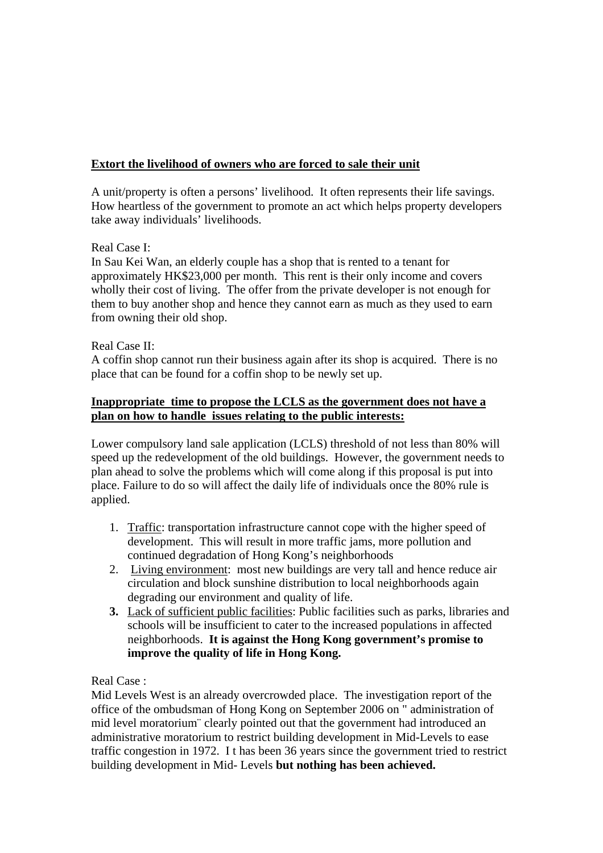## **Extort the livelihood of owners who are forced to sale their unit**

A unit/property is often a persons' livelihood. It often represents their life savings. How heartless of the government to promote an act which helps property developers take away individuals' livelihoods.

### Real Case I:

In Sau Kei Wan, an elderly couple has a shop that is rented to a tenant for approximately HK\$23,000 per month. This rent is their only income and covers wholly their cost of living. The offer from the private developer is not enough for them to buy another shop and hence they cannot earn as much as they used to earn from owning their old shop.

### Real Case II:

A coffin shop cannot run their business again after its shop is acquired. There is no place that can be found for a coffin shop to be newly set up.

### **Inappropriate time to propose the LCLS as the government does not have a plan on how to handle issues relating to the public interests:**

Lower compulsory land sale application (LCLS) threshold of not less than 80% will speed up the redevelopment of the old buildings. However, the government needs to plan ahead to solve the problems which will come along if this proposal is put into place. Failure to do so will affect the daily life of individuals once the 80% rule is applied.

- 1. Traffic: transportation infrastructure cannot cope with the higher speed of development. This will result in more traffic jams, more pollution and continued degradation of Hong Kong's neighborhoods
- 2. Living environment: most new buildings are very tall and hence reduce air circulation and block sunshine distribution to local neighborhoods again degrading our environment and quality of life.
- **3.** Lack of sufficient public facilities: Public facilities such as parks, libraries and schools will be insufficient to cater to the increased populations in affected neighborhoods. **It is against the Hong Kong government's promise to improve the quality of life in Hong Kong.**

Real Case :

Mid Levels West is an already overcrowded place. The investigation report of the office of the ombudsman of Hong Kong on September 2006 on " administration of mid level moratorium¨ clearly pointed out that the government had introduced an administrative moratorium to restrict building development in Mid-Levels to ease traffic congestion in 1972. I t has been 36 years since the government tried to restrict building development in Mid- Levels **but nothing has been achieved.**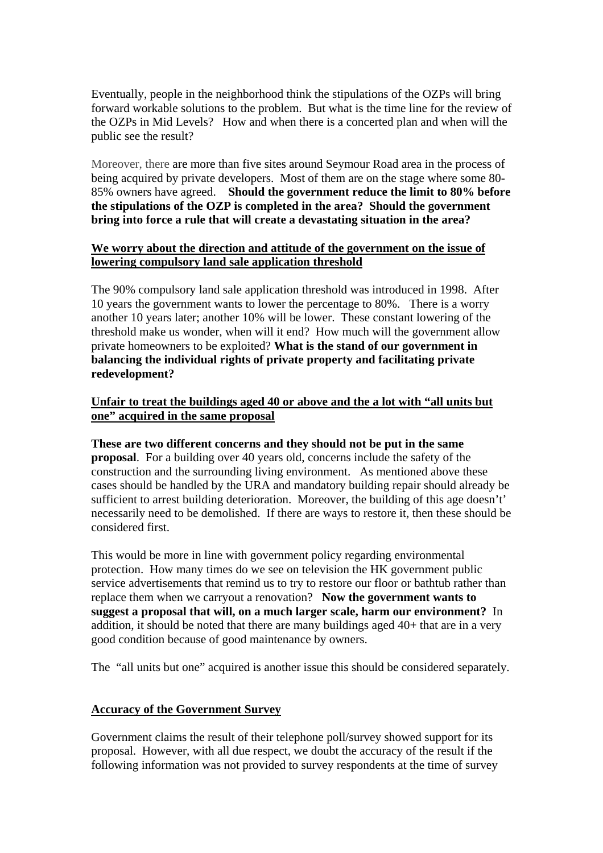Eventually, people in the neighborhood think the stipulations of the OZPs will bring forward workable solutions to the problem. But what is the time line for the review of the OZPs in Mid Levels? How and when there is a concerted plan and when will the public see the result?

Moreover, there are more than five sites around Seymour Road area in the process of being acquired by private developers. Most of them are on the stage where some 80- 85% owners have agreed. **Should the government reduce the limit to 80% before the stipulations of the OZP is completed in the area? Should the government bring into force a rule that will create a devastating situation in the area?**

#### **We worry about the direction and attitude of the government on the issue of lowering compulsory land sale application threshold**

The 90% compulsory land sale application threshold was introduced in 1998. After 10 years the government wants to lower the percentage to 80%. There is a worry another 10 years later; another 10% will be lower.These constant lowering of the threshold make us wonder, when will it end? How much will the government allow private homeowners to be exploited? **What is the stand of our government in balancing the individual rights of private property and facilitating private redevelopment?**

### **Unfair to treat the buildings aged 40 or above and the a lot with "all units but one" acquired in the same proposal**

**These are two different concerns and they should not be put in the same proposal**. For a building over 40 years old, concerns include the safety of the construction and the surrounding living environment. As mentioned above these cases should be handled by the URA and mandatory building repair should already be sufficient to arrest building deterioration. Moreover, the building of this age doesn't' necessarily need to be demolished. If there are ways to restore it, then these should be considered first.

This would be more in line with government policy regarding environmental protection. How many times do we see on television the HK government public service advertisements that remind us to try to restore our floor or bathtub rather than replace them when we carryout a renovation? **Now the government wants to suggest a proposal that will, on a much larger scale, harm our environment?** In addition, it should be noted that there are many buildings aged 40+ that are in a very good condition because of good maintenance by owners.

The "all units but one" acquired is another issue this should be considered separately.

### **Accuracy of the Government Survey**

Government claims the result of their telephone poll/survey showed support for its proposal. However, with all due respect, we doubt the accuracy of the result if the following information was not provided to survey respondents at the time of survey